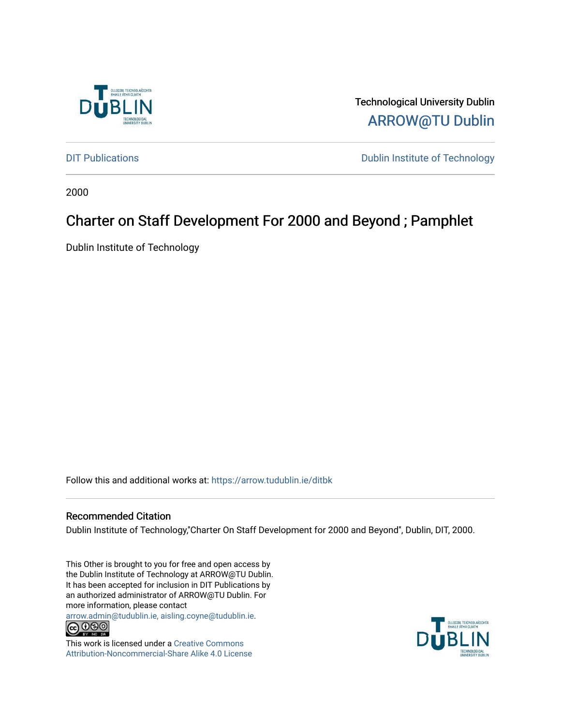

Technological University Dublin [ARROW@TU Dublin](https://arrow.tudublin.ie/) 

[DIT Publications](https://arrow.tudublin.ie/ditbk) **DIT Publications DIT Publications DIT Publications** 

2000

# Charter on Staff Development For 2000 and Beyond ; Pamphlet

Dublin Institute of Technology

Follow this and additional works at: [https://arrow.tudublin.ie/ditbk](https://arrow.tudublin.ie/ditbk?utm_source=arrow.tudublin.ie%2Fditbk%2F16&utm_medium=PDF&utm_campaign=PDFCoverPages) 

#### Recommended Citation

Dublin Institute of Technology,''Charter On Staff Development for 2000 and Beyond'', Dublin, DIT, 2000.

This Other is brought to you for free and open access by the Dublin Institute of Technology at ARROW@TU Dublin. It has been accepted for inclusion in DIT Publications by an authorized administrator of ARROW@TU Dublin. For more information, please contact

[arrow.admin@tudublin.ie, aisling.coyne@tudublin.ie](mailto:arrow.admin@tudublin.ie,%20aisling.coyne@tudublin.ie).<br>
co 000



This work is licensed under a [Creative Commons](http://creativecommons.org/licenses/by-nc-sa/4.0/) [Attribution-Noncommercial-Share Alike 4.0 License](http://creativecommons.org/licenses/by-nc-sa/4.0/)

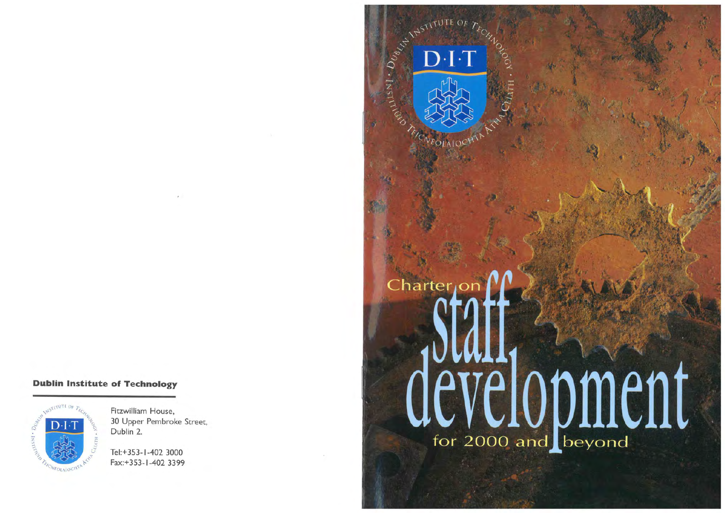#### **Dublin Institute of Technology**



Fitzwilliam House, 30 Upper Pembroke Street, Dublin 2.

Tel:+ 353-1-402 3000 Fax:+ 353- 1-402 3399

# Charter<sub>IO</sub> development

NSTITUTE OF

 $D-I$ 

 $\cdot$   $D_{U_{\beta_{\ell_{\ell_{\ell}}}}}\cdot$ 

INST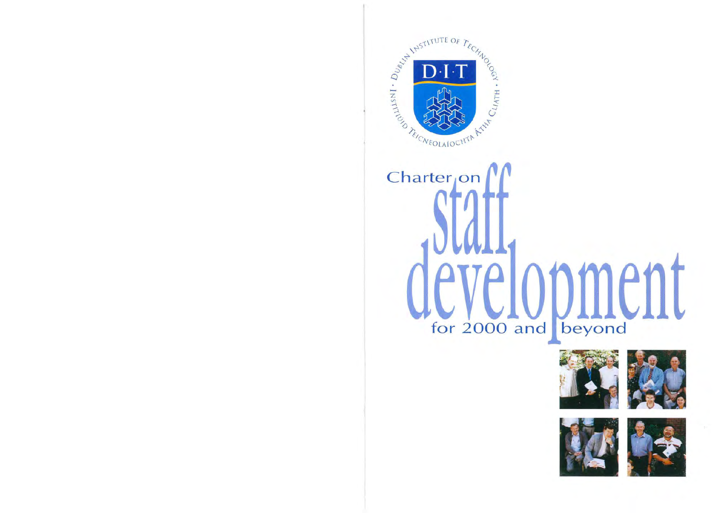

# Charter<sub>i</sub>on  $\mathsf{P} \mathsf{r}$ for 2000 and beyond





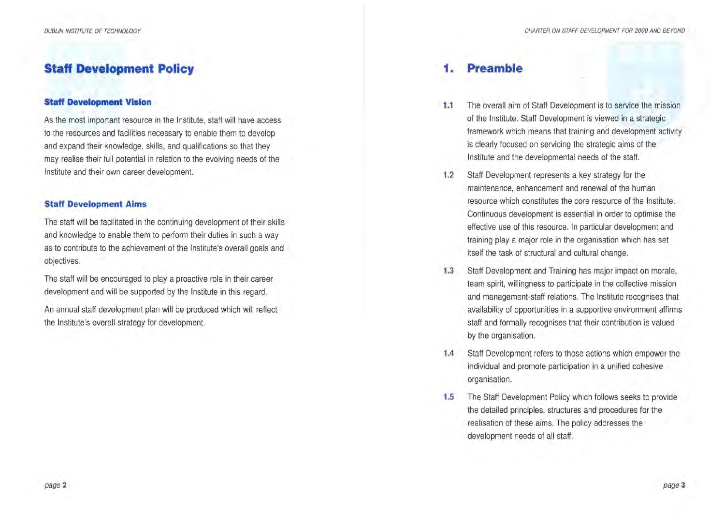### **Staff Development Policy**

#### **Staff Development Vision**

As the most important resource in the Institute, staff will have access to the resources and facilities necessary to enable them to develop and expand their knowledge, skills, and qualifications so that they may realise their full potential in relation to the evolving needs of the Institute and their own career development.

#### **Staff Development Aims**

The staff will be facilitated in the continuing development of their skills and knowledge to enable them to perform their duties in such a way as to contribute to the achievement of the Institute's overall goals and objectives.

The staff will be encouraged to play a proactive role in their career development and will be supported by the Institute in this regard.

An annual staff development plan will be produced which will reflect the Institute's overall strategy for development.

### **1. Preamble**

- **1.1** The overall aim of Staff Development is to service the mission of the Institute. Staff Development is viewed in a strategic framework which means that training and development activity is clearly focused on servicing the strategic aims of the Institute and the developmental needs of the staff.
- 1.2 Staff Development represents a key strategy for the maintenance, enhancement and renewal of the human resource which constitutes the core resource of the Institute. Continuous development is essential in order to optimise the effective use of this resource. In particular development and training play a major role in the organisation which has set itself the task of structural and cultural change.
- 1.3 Staff Development and Training has major impact on morale, team spirit, willingness to participate in the collective mission and management-staff relations. The Institute recognises that availability of opportunities in a supportive environment affirms staff and formally recognises that their contribution is valued by the organisation.
- **1.4** Staff Development refers to those actions which empower the individual and promote participation in a unified cohesive organisation.
- **1.5** The Staff Development Policy which follows seeks to provide the detailed principles, structures and procedures for the realisation of these aims. The policy addresses the development needs of all staff.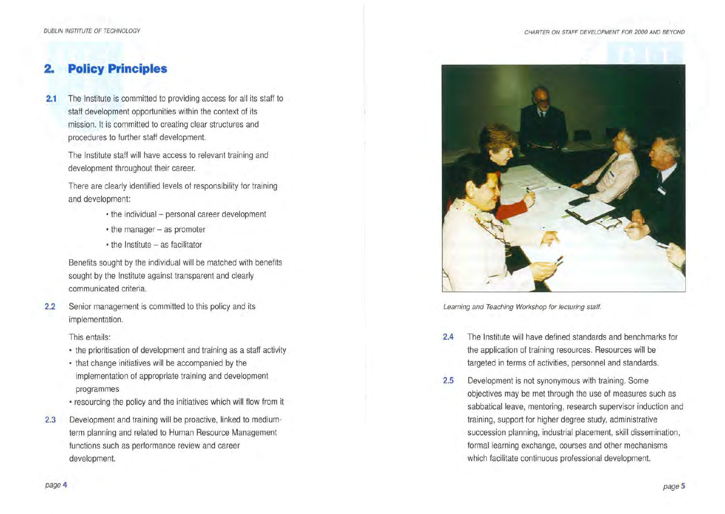## **2. Policy Principles**

**2.1** The Institute is committed to providing access for all its staff to staff development opportunities within the context of its mission. It is committed to creating clear structures and procedures to further staff development.

The Institute staff will have access to relevant training and development throughout their career.

There are clearly identified levels of responsibility for training and development:

- the individual personal career development
- the manager as promoter
- $\cdot$  the Institute  $-$  as facilitator

Benefits sought by the individual will be matched with benefits sought by the Institute against transparent and clearly communicated criteria.

2.2 Senior management is committed to this policy and its implementation.

This entails:

- the prioritisation of development and training as a staff activity
- that change initiatives will be accompanied by the implementation of appropriate training and development programmes
- resourcing the policy and the initiatives which will flow from it
- 2.3 Development and training will be proactive, linked to mediumterm planning and related to Human Resource Management functions such as performance review and career development.



Learning and Teaching Workshop for lecturing staff.

- **2.4** The Institute will have defined standards and benchmarks for the application of training resources. Resources will be targeted in terms of activities, personnel and standards.
- **2.5** Development is not synonymous with training. Some objectives may be met through the use of measures such as sabbatical leave, mentoring, research supervisor induction and training, support for higher degree study, administrative succession planning, industrial placement, skill dissemination, formal learning exchange, courses and other mechanisms which facilitate continuous professional development.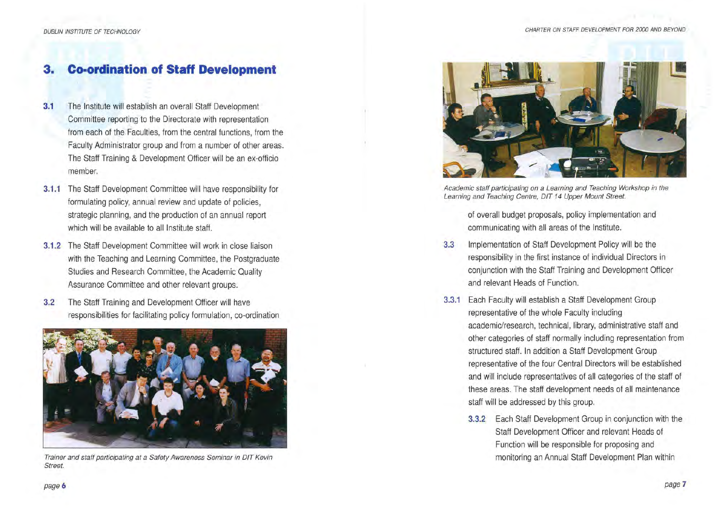# **3. Co-ordination of Staff Development**

- **3.1** The Institute will establish an overall Staff Development Committee reporting to the Directorate with representation from each of the Faculties, from the central functions, from the Faculty Administrator group and from a number of other areas. The Staff Training & Development Officer will be an ex-officio member.
- **3.1.1** The Staff Development Committee will have responsibility for formulating policy, annual review and update of policies, strategic planning, and the production of an annual report which will be available to all Institute staff.
- **3.1.2** The Staff Development Committee will work in close liaison with the Teaching and Learning Committee, the Postgraduate Studies and Research Committee, the Academic Quality Assurance Committee and other relevant groups.
- **3.2** The Staff Training and Development Officer will have responsibilities for facilitating policy formulation, co-ordination



Trainer and staff participating at a Safety Awareness Seminar in OfT Kevin Street.



Academic staff participating on a Learning and Teaching Workshop in the Learning and Teaching Centre, 0/T 14 Upper Mount Street.

of overall budget proposals, policy implementation and communicating with all areas of the Institute.

- 3.3 Implementation of Staff Development Policy will be the responsibility in the first instance of individual Directors in conjunction with the Staff Training and Development Officer and relevant Heads of Function.
- **3.3.1** Each Faculty will establish a Staff Development Group representative of the whole Faculty including academic/research, technical, library, administrative staff and other categories of staff normally including representation from structured staff. In addition a Staff Development Group representative of the four Central Directors will be established and will include representatives of all categories of the staff of these areas. The staff development needs of all maintenance staff will be addressed by this group.
	- **3.3.2** Each Staff Development Group in conjunction with the Staff Development Officer and relevant Heads of Function will be responsible for proposing and monitoring an Annual Staff Development Plan within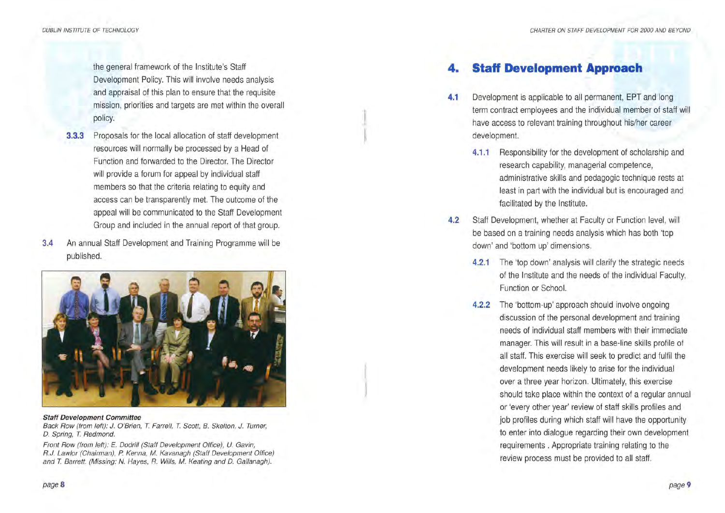DUBLIN INSTITUTE OF TECHNOLOGY

the general framework of the Institute's Staff Development Policy. This will involve needs analysis and appraisal of this plan to ensure that the requisite mission, priorities and targets are met within the overall policy.

- **3.3.3** Proposals for the local allocation of staff development resources will normally be processed by a Head of Function and forwarded to the Director. The Director will provide a forum for appeal by individual staff members so that the criteria relating to equity and access can be transparently met. The outcome of the appeal will be communicated to the Staff Development Group and included in the annual report of that group.
- 3.4 An annual Staff Development and Training Programme will be published.



#### Staff Development Committee

Back Row (from left); J. O'Brien, T. Farrell, T. Scott, B. Skelton, J. Turner, D. Spring, T. Redmond.

Front Row (from left}: E. Dodrill (Staff Development Office), *U.* Gavin; R.J. Lawlor {Chairman), *P.* Kenna, *M.* Kavanagh (Staff Development Office) and *T.* Barrett. (Missing: N. Hayes, R. Wills, *M.* Keating and D. Gallanagh).

# *Staff Development Approach*

- **4.1** Development is applicable to all permanent, EPT and long term contract employees and the individual member of staff will have access to relevant training throughout his/her career development.
	- **4.1.1** Responsibility for the development of scholarship and research capability, managerial competence, administrative skills and pedagogic technique rests at least in part with the individual but is encouraged and facilitated by the Institute.
- **4.2** Staff Development, whether at Faculty or Function level, will be based on a training needs analysis which has both 'top down' and 'bottom up' dimensions.
	- **4.2.1** The 'top down' analysis will clarify the strategic needs of the Institute and the needs of the individual Faculty, Function or School.
	- **4.2.2** The 'bottom-up' approach should involve ongoing discussion of the personal development and training needs of individual staff members with their immediate manager. This will result in a base-line skills profile of all staff. This exercise will seek to predict and fulfil the development needs likely to arise for the individual over a three year horizon. Ultimately, this exercise should take place within the context of a regular annual or 'every other year' review of staff skills profiles and job profiles during which staff will have the opportunity to enter into dialogue regarding their own development requirements . Appropriate training relating to the review process must be provided to all staff.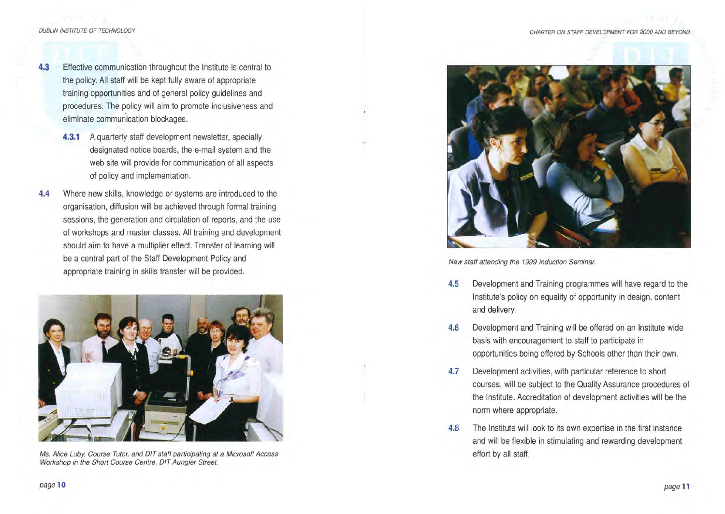- **4.3** Effective communication throughout the Institute is central to the policy. All staff will be kept fully aware of appropriate training opportunities and of general policy guidelines and procedures. The policy will aim to promote inclusiveness and eliminate communication blockages.
	- **4.3.1** A quarterly staff development newsletter, specially designated notice boards, the e-mail system and the web site will provide for communication of all aspects of policy and implementation.
- **4.4** Where new skills, knowledge or systems are introduced to the organisation, diffusion will be achieved through formal training sessions, the generation and circulation of reports, and the use of workshops and master classes. All training and development should aim to have a multiplier effect. Transfer of learning will be a central part of the Staff Development Policy and appropriate training in skills transfer will be provided.



Ms. Alice Luby, Course Tutor, and DIT staff participating at a Microsoft Access effort by all staff. Workshop in the Short Course Centre, OIT Aungier Street.



New staff attending the 1999 Induction Seminar.

- **4.5** Development and Training programmes will have regard to the Institute's policy on equality of opportunity in design, content and delivery.
- **4.6** Development and Training will be offered on an Institute wide basis with encouragement to staff to participate in opportunities being offered by Schools other than their own.
- **4.7** Development activities, with particular reference to short courses, will be subject to the Quality Assurance procedures of the Institute. Accreditation of development activities will be the norm where appropriate.
- **4.8** The Institute will look to its own expertise in the first instance and will be flexible in stimulating and rewarding development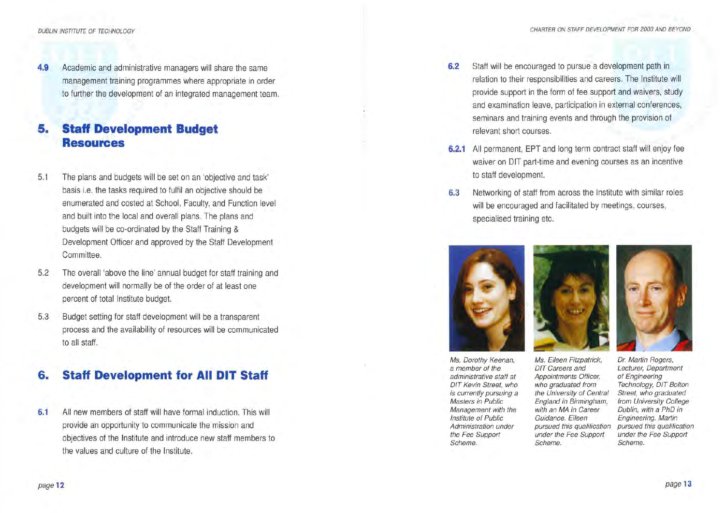**4.9** Academic and administrative managers will share the same management training programmes where appropriate in order to further the development of an integrated management team.

#### **5. Staff Development Budget Resources**

- 5.1 The plans and budgets will be set on an 'objective and task' basis i.e. the tasks required to fulfil an objective should be enumerated and costed at School, Faculty, and Function level and built into the local and overall plans. The plans and budgets will be co-ordinated by the Staff Training & Development Officer and approved by the Staff Development Committee.
- 5.2 The overall 'above the line' annual budget for staff training and development will normally be of the order of at least one percent of total Institute budget.
- 5.3 Budget setting for staff development will be a transparent process and the availability of resources will be communicated to all staff.

#### **6. Staff Development for All DIT Staff**

6.1 All new members of staff will have formal induction. This will provide an opportunity to communicate the mission and objectives of the Institute and introduce new staff members to the values and culture of the Institute.

- **6.2** Staff will be encouraged to pursue a development path in relation to their responsibilities and careers. The Institute will provide support in the form of fee support and waivers, study and examination leave, participation in external conferences, seminars and training events and through the provision of relevant short courses.
- **6.2.1** All permanent, EPT and long term contract staff will enjoy fee waiver on DIT part-time and evening courses as an incentive to staff development.
- 6.3 Networking of staff from across the Institute with similar roles will be encouraged and facilitated by meetings, courses, specialised training etc.



Ms. Dorothy Keenan, a member of the administrative staff at DIT Kevin Street, who is currently pursuing a Masters in Public Management with the Institute of Public Administration under the Fee Support Scheme.





Ms. Eileen Fitzpatrick, DIT Careers and Appointments Officer, who graduated from the University of Central England in Birmingham, with an MA in Career Guidance. Eileen pursued this qualification under the Fee Support Scheme.

Dr. Martin Rogers, Lecturer, Department of Engineering Technology, DIT Bolton Street, who graduated from University College Dublin, with a PhD in Engineering. Martin pursued this qualification under the Fee Support Scheme.